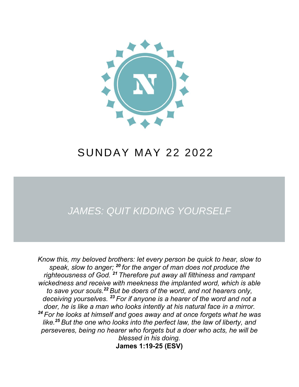

# **SUNDAY MAY 22 2022**

## **JAMES: QUIT KIDDING YOURSELF**

*Know this, my beloved brothers: let every person be quick to hear, slow to speak, slow to anger; <sup>20</sup> for the anger of man does not produce the righteousness of God. <sup>21</sup> Therefore put away all filthiness and rampant wickedness and receive with meekness the implanted word, which is able to save your souls.<sup>22</sup> But be doers of the word, and not hearers only, deceiving yourselves. <sup>23</sup> For if anyone is a hearer of the word and not a doer, he is like a man who looks intently at his natural face in a mirror. <sup>24</sup> For he looks at himself and goes away and at once forgets what he was like.<sup>25</sup> But the one who looks into the perfect law, the law of liberty, and perseveres, being no hearer who forgets but a doer who acts, he will be blessed in his doing.* 

**James 1:19-25 (ESV)**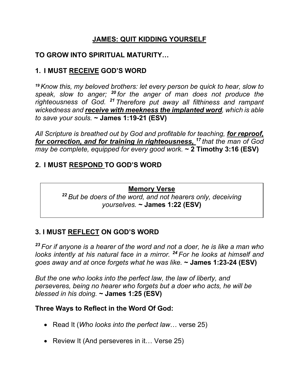## **JAMES: QUIT KIDDING YOURSELF**

## **TO GROW INTO SPIRITUAL MATURITY…**

## **1. I MUST RECEIVE GOD'S WORD**

*<sup>19</sup>Know this, my beloved brothers: let every person be quick to hear, slow to speak, slow to anger; <sup>20</sup> for the anger of man does not produce the righteousness of God. <sup>21</sup> Therefore put away all filthiness and rampant wickedness and receive with meekness the implanted word, which is able to save your souls.* **~ James 1:19-21 (ESV)**

*All Scripture is breathed out by God and profitable for teaching, for reproof, for correction, and for training in righteousness, <sup>17</sup> that the man of God may be complete, equipped for every good work.* **~ 2 Timothy 3:16 (ESV)**

## **2. I MUST RESPOND TO GOD'S WORD**

#### **Memory Verse**

*<sup>22</sup> But be doers of the word, and not hearers only, deceiving yourselves.* **~ James 1:22 (ESV)**

## **3. I MUST REFLECT ON GOD'S WORD**

*<sup>23</sup> For if anyone is a hearer of the word and not a doer, he is like a man who looks intently at his natural face in a mirror. <sup>24</sup> For he looks at himself and goes away and at once forgets what he was like.* **~ James 1:23-24 (ESV)**

*But the one who looks into the perfect law, the law of liberty, and perseveres, being no hearer who forgets but a doer who acts, he will be blessed in his doing.* **~ James 1:25 (ESV)**

#### **Three Ways to Reflect in the Word Of God:**

- Read It (*Who looks into the perfect law*… verse 25)
- Review It (And perseveres in it... Verse 25)